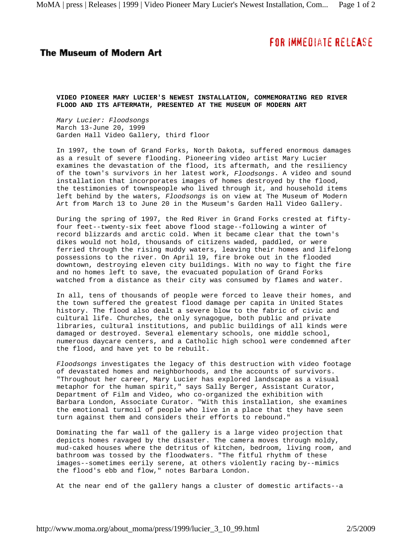## **FOR IMMEDIATE RELEASE**

## **The Museum of Modern Art**

**VIDEO PIONEER MARY LUCIER'S NEWEST INSTALLATION, COMMEMORATING RED RIVER FLOOD AND ITS AFTERMATH, PRESENTED AT THE MUSEUM OF MODERN ART**

*Mary Lucier: Floodsongs* March 13-June 20, 1999 Garden Hall Video Gallery, third floor

In 1997, the town of Grand Forks, North Dakota, suffered enormous damages as a result of severe flooding. Pioneering video artist Mary Lucier examines the devastation of the flood, its aftermath, and the resiliency of the town's survivors in her latest work, *Floodsongs*. A video and sound installation that incorporates images of homes destroyed by the flood, the testimonies of townspeople who lived through it, and household items left behind by the waters, *Floodsongs* is on view at The Museum of Modern Art from March 13 to June 20 in the Museum's Garden Hall Video Gallery.

During the spring of 1997, the Red River in Grand Forks crested at fiftyfour feet--twenty-six feet above flood stage--following a winter of record blizzards and arctic cold. When it became clear that the town's dikes would not hold, thousands of citizens waded, paddled, or were ferried through the rising muddy waters, leaving their homes and lifelong possessions to the river. On April 19, fire broke out in the flooded downtown, destroying eleven city buildings. With no way to fight the fire and no homes left to save, the evacuated population of Grand Forks watched from a distance as their city was consumed by flames and water.

In all, tens of thousands of people were forced to leave their homes, and the town suffered the greatest flood damage per capita in United States history. The flood also dealt a severe blow to the fabric of civic and cultural life. Churches, the only synagogue, both public and private libraries, cultural institutions, and public buildings of all kinds were damaged or destroyed. Several elementary schools, one middle school, numerous daycare centers, and a Catholic high school were condemned after the flood, and have yet to be rebuilt.

*Floodsongs* investigates the legacy of this destruction with video footage of devastated homes and neighborhoods, and the accounts of survivors. "Throughout her career, Mary Lucier has explored landscape as a visual metaphor for the human spirit," says Sally Berger, Assistant Curator, Department of Film and Video, who co-organized the exhibition with Barbara London, Associate Curator. "With this installation, she examines the emotional turmoil of people who live in a place that they have seen turn against them and considers their efforts to rebound."

Dominating the far wall of the gallery is a large video projection that depicts homes ravaged by the disaster. The camera moves through moldy, mud-caked houses where the detritus of kitchen, bedroom, living room, and bathroom was tossed by the floodwaters. "The fitful rhythm of these images--sometimes eerily serene, at others violently racing by--mimics the flood's ebb and flow," notes Barbara London.

At the near end of the gallery hangs a cluster of domestic artifacts--a